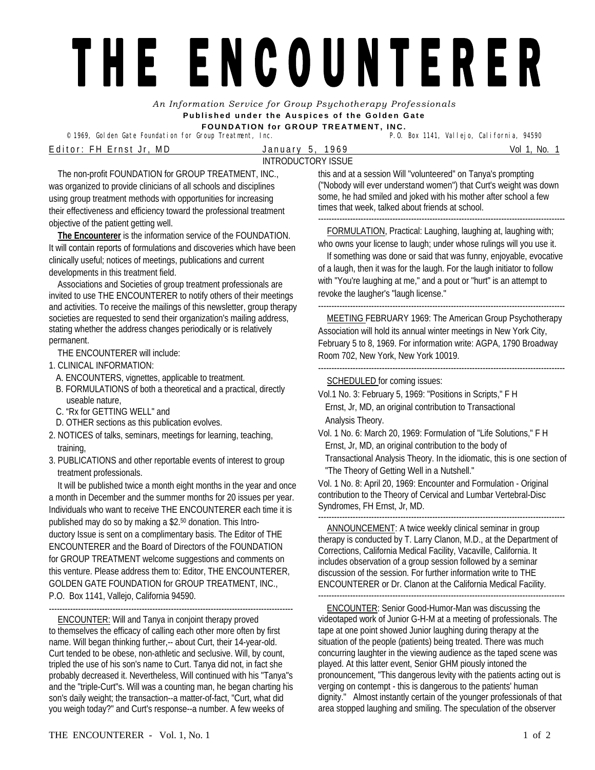## THE ENCOUNTERER

*An Information Service for Group Psychotherapy Professionals*  **Published under the Auspices of the Golden Gate** 

<sup>©</sup> 1969, Golden Gate Foundation for Group Treatment, Inc. E d i t o r : F H E r n s t J r , M D J a n u a r y 5 , 1 9 6 9 Vol 1, No. 1 INTRODUCTORY ISSUE

**FOUNDATION for GROUP TREATMENT, INC.** 

The non-profit FOUNDATION for GROUP TREATMENT, INC., was organized to provide clinicians of all schools and disciplines using group treatment methods with opportunities for increasing their effectiveness and efficiency toward the professional treatment objective of the patient getting well.

**The Encounterer** is the information service of the FOUNDATION. It will contain reports of formulations and discoveries which have been clinically useful; notices of meetings, publications and current developments in this treatment field.

Associations and Societies of group treatment professionals are invited to use THE ENCOUNTERER to notify others of their meetings and activities. To receive the mailings of this newsletter, group therapy societies are requested to send their organization's mailing address, stating whether the address changes periodically or is relatively permanent.

THE ENCOUNTERER will include:

- 1. CLINICAL INFORMATION:
	- A. ENCOUNTERS, vignettes, applicable to treatment.
	- B. FORMULATIONS of both a theoretical and a practical, directly useable nature,
	- C. "Rx for GETTING WELL" and
	- D. OTHER sections as this publication evolves.
- 2. NOTICES of talks, seminars, meetings for learning, teaching, training,
- 3. PUBLICATIONS and other reportable events of interest to group treatment professionals.

It will be published twice a month eight months in the year and once a month in December and the summer months for 20 issues per year. Individuals who want to receive THE ENCOUNTERER each time it is published may do so by making a \$2.50 donation. This Introductory Issue is sent on a complimentary basis. The Editor of THE ENCOUNTERER and the Board of Directors of the FOUNDATION for GROUP TREATMENT welcome suggestions and comments on this venture. Please address them to: Editor, THE ENCOUNTERER, GOLDEN GATE FOUNDATION for GROUP TREATMENT, INC., P.O. Box 1141, Vallejo, California 94590.

-------------------------------------------------------------------------------------------- ENCOUNTER: Will and Tanya in conjoint therapy proved to themselves the efficacy of calling each other more often by first name. Will began thinking further,-- about Curt, their 14-year-old. Curt tended to be obese, non-athletic and seclusive. Will, by count, tripled the use of his son's name to Curt. Tanya did not, in fact she probably decreased it. Nevertheless, Will continued with his "Tanya"s and the "triple-Curt"s. Will was a counting man, he began charting his son's daily weight; the transaction--a matter-of-fact, "Curt, what did you weigh today?" and Curt's response--a number. A few weeks of

this and at a session Will "volunteered" on Tanya's prompting ("Nobody will ever understand women") that Curt's weight was down some, he had smiled and joked with his mother after school a few times that week, talked about friends at school. ---------------------------------------------------------------------------------------------

FORMULATION, Practical: Laughing, laughing at, laughing with; who owns your license to laugh; under whose rulings will you use it.

If something was done or said that was funny, enjoyable, evocative of a laugh, then it was for the laugh. For the laugh initiator to follow with "You're laughing at me," and a pout or "hurt" is an attempt to revoke the laugher's "laugh license."

--------------------------------------------------------------------------------------------- MEETING FEBRUARY 1969: The American Group Psychotherapy Association will hold its annual winter meetings in New York City, February 5 to 8, 1969. For information write: AGPA, 1790 Broadway Room 702, New York, New York 10019.

--------------------------------------------------------------------------------------------- SCHEDULED for coming issues:

- Vol.1 No. 3: February 5, 1969: "Positions in Scripts," F H Ernst, Jr, MD, an original contribution to Transactional Analysis Theory.
- Vol. 1 No. 6: March 20, 1969: Formulation of "Life Solutions," F H Ernst, Jr, MD, an original contribution to the body of Transactional Analysis Theory. In the idiomatic, this is one section of "The Theory of Getting Well in a Nutshell."

Vol. 1 No. 8: April 20, 1969: Encounter and Formulation - Original contribution to the Theory of Cervical and Lumbar Vertebral-Disc Syndromes, FH Ernst, Jr, MD.

--------------------------------------------------------------------------------------------- ANNOUNCEMENT: A twice weekly clinical seminar in group therapy is conducted by T. Larry Clanon, M.D., at the Department of Corrections, California Medical Facility, Vacaville, California. It includes observation of a group session followed by a seminar discussion of the session. For further information write to THE ENCOUNTERER or Dr. Clanon at the California Medical Facility.

ENCOUNTER: Senior Good-Humor-Man was discussing the videotaped work of Junior G-H-M at a meeting of professionals. The tape at one point showed Junior laughing during therapy at the situation of the people (patients) being treated. There was much concurring laughter in the viewing audience as the taped scene was played. At this latter event, Senior GHM piously intoned the pronouncement, "This dangerous levity with the patients acting out is verging on contempt - this is dangerous to the patients' human dignity." Almost instantly certain of the younger professionals of that area stopped laughing and smiling. The speculation of the observer